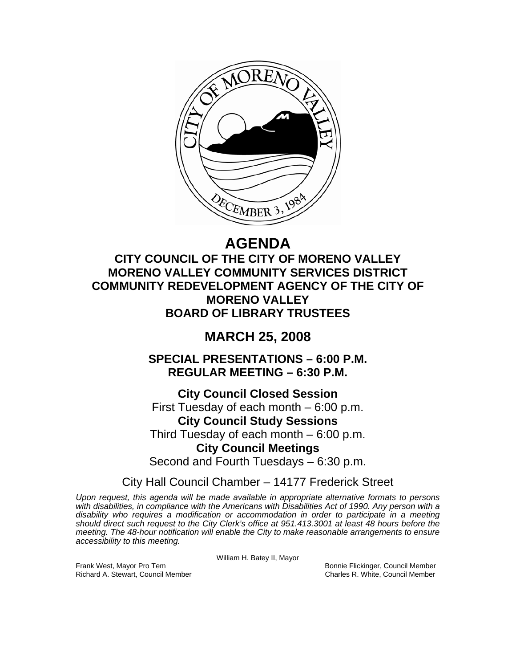

# **AGENDA**

**CITY COUNCIL OF THE CITY OF MORENO VALLEY MORENO VALLEY COMMUNITY SERVICES DISTRICT COMMUNITY REDEVELOPMENT AGENCY OF THE CITY OF MORENO VALLEY BOARD OF LIBRARY TRUSTEES** 

## **MARCH 25, 2008**

**SPECIAL PRESENTATIONS – 6:00 P.M. REGULAR MEETING – 6:30 P.M.** 

**City Council Closed Session**  First Tuesday of each month – 6:00 p.m. **City Council Study Sessions**  Third Tuesday of each month – 6:00 p.m. **City Council Meetings**  Second and Fourth Tuesdays – 6:30 p.m.

City Hall Council Chamber – 14177 Frederick Street

*Upon request, this agenda will be made available in appropriate alternative formats to persons with disabilities, in compliance with the Americans with Disabilities Act of 1990. Any person with a disability who requires a modification or accommodation in order to participate in a meeting should direct such request to the City Clerk's office at 951.413.3001 at least 48 hours before the meeting. The 48-hour notification will enable the City to make reasonable arrangements to ensure accessibility to this meeting.* 

William H. Batey II, Mayor

Frank West, Mayor Pro Tem Bonnie Flickinger, Council Member Richard A. Stewart, Council Member Charles R. White, Council Member Charles R. White, Council Member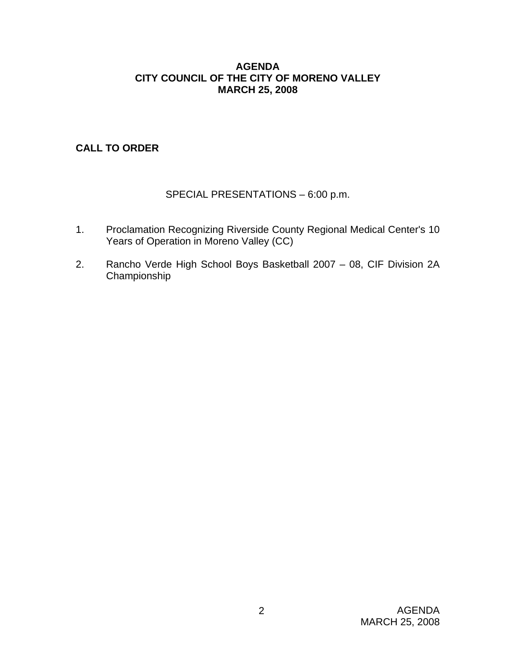#### **AGENDA CITY COUNCIL OF THE CITY OF MORENO VALLEY MARCH 25, 2008**

## **CALL TO ORDER**

## SPECIAL PRESENTATIONS – 6:00 p.m.

- 1. Proclamation Recognizing Riverside County Regional Medical Center's 10 Years of Operation in Moreno Valley (CC)
- 2. Rancho Verde High School Boys Basketball 2007 08, CIF Division 2A Championship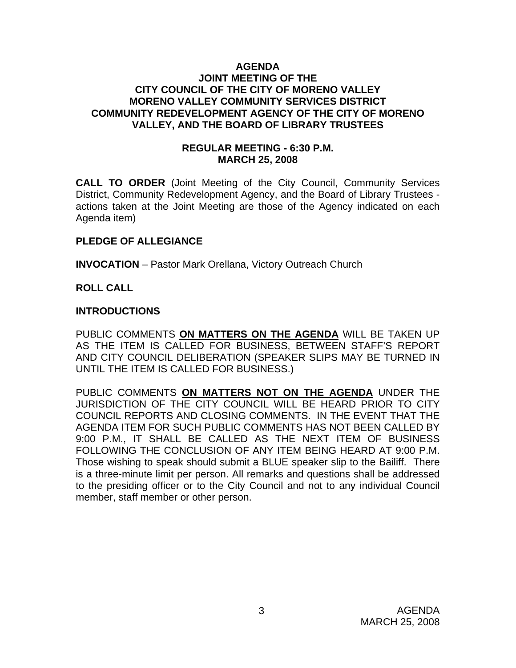#### **AGENDA JOINT MEETING OF THE CITY COUNCIL OF THE CITY OF MORENO VALLEY MORENO VALLEY COMMUNITY SERVICES DISTRICT COMMUNITY REDEVELOPMENT AGENCY OF THE CITY OF MORENO VALLEY, AND THE BOARD OF LIBRARY TRUSTEES**

#### **REGULAR MEETING - 6:30 P.M. MARCH 25, 2008**

**CALL TO ORDER** (Joint Meeting of the City Council, Community Services District, Community Redevelopment Agency, and the Board of Library Trustees actions taken at the Joint Meeting are those of the Agency indicated on each Agenda item)

### **PLEDGE OF ALLEGIANCE**

**INVOCATION** – Pastor Mark Orellana, Victory Outreach Church

#### **ROLL CALL**

#### **INTRODUCTIONS**

PUBLIC COMMENTS **ON MATTERS ON THE AGENDA** WILL BE TAKEN UP AS THE ITEM IS CALLED FOR BUSINESS, BETWEEN STAFF'S REPORT AND CITY COUNCIL DELIBERATION (SPEAKER SLIPS MAY BE TURNED IN UNTIL THE ITEM IS CALLED FOR BUSINESS.)

PUBLIC COMMENTS **ON MATTERS NOT ON THE AGENDA** UNDER THE JURISDICTION OF THE CITY COUNCIL WILL BE HEARD PRIOR TO CITY COUNCIL REPORTS AND CLOSING COMMENTS. IN THE EVENT THAT THE AGENDA ITEM FOR SUCH PUBLIC COMMENTS HAS NOT BEEN CALLED BY 9:00 P.M., IT SHALL BE CALLED AS THE NEXT ITEM OF BUSINESS FOLLOWING THE CONCLUSION OF ANY ITEM BEING HEARD AT 9:00 P.M. Those wishing to speak should submit a BLUE speaker slip to the Bailiff. There is a three-minute limit per person. All remarks and questions shall be addressed to the presiding officer or to the City Council and not to any individual Council member, staff member or other person.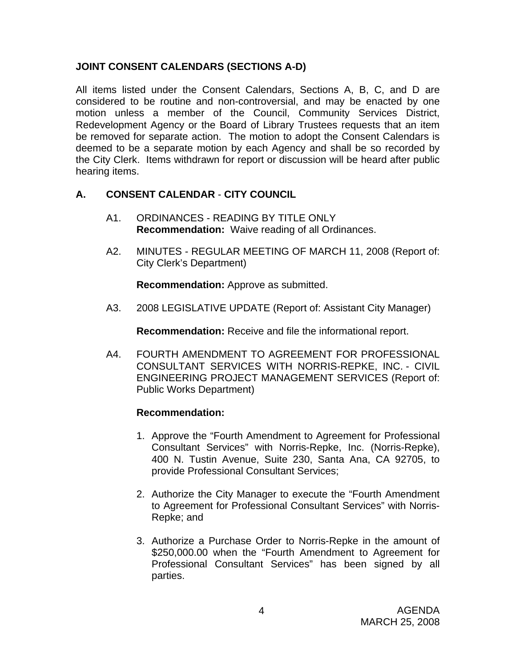## **JOINT CONSENT CALENDARS (SECTIONS A-D)**

All items listed under the Consent Calendars, Sections A, B, C, and D are considered to be routine and non-controversial, and may be enacted by one motion unless a member of the Council, Community Services District, Redevelopment Agency or the Board of Library Trustees requests that an item be removed for separate action. The motion to adopt the Consent Calendars is deemed to be a separate motion by each Agency and shall be so recorded by the City Clerk. Items withdrawn for report or discussion will be heard after public hearing items.

## **A. CONSENT CALENDAR** - **CITY COUNCIL**

- A1. ORDINANCES READING BY TITLE ONLY **Recommendation:** Waive reading of all Ordinances.
- A2. MINUTES REGULAR MEETING OF MARCH 11, 2008 (Report of: City Clerk's Department)

**Recommendation:** Approve as submitted.

A3. 2008 LEGISLATIVE UPDATE (Report of: Assistant City Manager)

**Recommendation:** Receive and file the informational report.

A4. FOURTH AMENDMENT TO AGREEMENT FOR PROFESSIONAL CONSULTANT SERVICES WITH NORRIS-REPKE, INC. - CIVIL ENGINEERING PROJECT MANAGEMENT SERVICES (Report of: Public Works Department)

- 1. Approve the "Fourth Amendment to Agreement for Professional Consultant Services" with Norris-Repke, Inc. (Norris-Repke), 400 N. Tustin Avenue, Suite 230, Santa Ana, CA 92705, to provide Professional Consultant Services;
- 2. Authorize the City Manager to execute the "Fourth Amendment to Agreement for Professional Consultant Services" with Norris-Repke; and
- 3. Authorize a Purchase Order to Norris-Repke in the amount of \$250,000.00 when the "Fourth Amendment to Agreement for Professional Consultant Services" has been signed by all parties.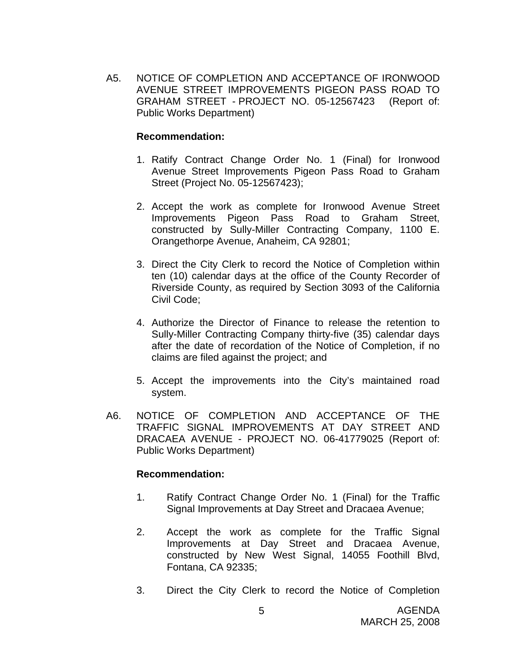A5. NOTICE OF COMPLETION AND ACCEPTANCE OF IRONWOOD AVENUE STREET IMPROVEMENTS PIGEON PASS ROAD TO GRAHAM STREET - PROJECT NO. 05-12567423 (Report of: Public Works Department)

#### **Recommendation:**

- 1. Ratify Contract Change Order No. 1 (Final) for Ironwood Avenue Street Improvements Pigeon Pass Road to Graham Street (Project No. 05-12567423);
- 2. Accept the work as complete for Ironwood Avenue Street Improvements Pigeon Pass Road to Graham Street, constructed by Sully-Miller Contracting Company, 1100 E. Orangethorpe Avenue, Anaheim, CA 92801;
- 3. Direct the City Clerk to record the Notice of Completion within ten (10) calendar days at the office of the County Recorder of Riverside County, as required by Section 3093 of the California Civil Code;
- 4. Authorize the Director of Finance to release the retention to Sully-Miller Contracting Company thirty-five (35) calendar days after the date of recordation of the Notice of Completion, if no claims are filed against the project; and
- 5. Accept the improvements into the City's maintained road system.
- A6. NOTICE OF COMPLETION AND ACCEPTANCE OF THE TRAFFIC SIGNAL IMPROVEMENTS AT DAY STREET AND DRACAEA AVENUE - PROJECT NO. 06-41779025 (Report of: Public Works Department)

- 1. Ratify Contract Change Order No. 1 (Final) for the Traffic Signal Improvements at Day Street and Dracaea Avenue;
- 2. Accept the work as complete for the Traffic Signal Improvements at Day Street and Dracaea Avenue, constructed by New West Signal, 14055 Foothill Blvd, Fontana, CA 92335;
- 3. Direct the City Clerk to record the Notice of Completion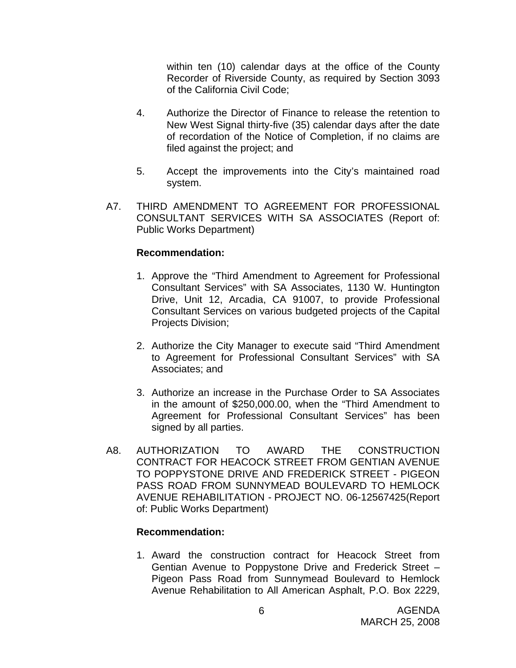within ten (10) calendar days at the office of the County Recorder of Riverside County, as required by Section 3093 of the California Civil Code;

- 4. Authorize the Director of Finance to release the retention to New West Signal thirty-five (35) calendar days after the date of recordation of the Notice of Completion, if no claims are filed against the project; and
- 5. Accept the improvements into the City's maintained road system.
- A7. THIRD AMENDMENT TO AGREEMENT FOR PROFESSIONAL CONSULTANT SERVICES WITH SA ASSOCIATES (Report of: Public Works Department)

#### **Recommendation:**

- 1. Approve the "Third Amendment to Agreement for Professional Consultant Services" with SA Associates, 1130 W. Huntington Drive, Unit 12, Arcadia, CA 91007, to provide Professional Consultant Services on various budgeted projects of the Capital Projects Division;
- 2. Authorize the City Manager to execute said "Third Amendment to Agreement for Professional Consultant Services" with SA Associates; and
- 3. Authorize an increase in the Purchase Order to SA Associates in the amount of \$250,000.00, when the "Third Amendment to Agreement for Professional Consultant Services" has been signed by all parties.
- A8. AUTHORIZATION TO AWARD THE CONSTRUCTION CONTRACT FOR HEACOCK STREET FROM GENTIAN AVENUE TO POPPYSTONE DRIVE AND FREDERICK STREET - PIGEON PASS ROAD FROM SUNNYMEAD BOULEVARD TO HEMLOCK AVENUE REHABILITATION - PROJECT NO. 06-12567425(Report of: Public Works Department)

#### **Recommendation:**

1. Award the construction contract for Heacock Street from Gentian Avenue to Poppystone Drive and Frederick Street – Pigeon Pass Road from Sunnymead Boulevard to Hemlock Avenue Rehabilitation to All American Asphalt, P.O. Box 2229,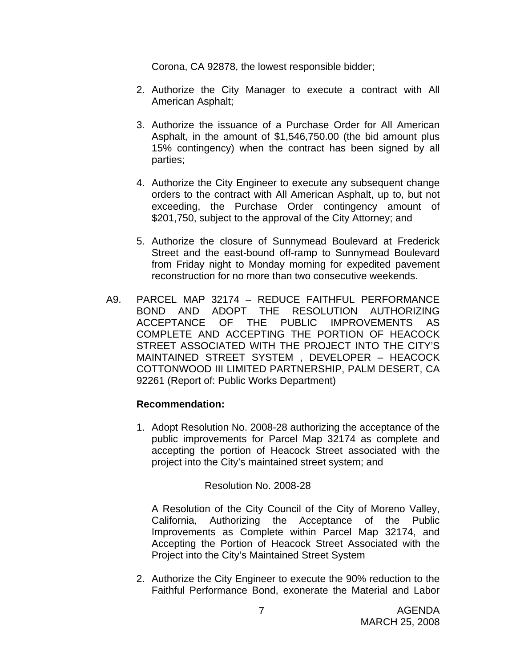Corona, CA 92878, the lowest responsible bidder;

- 2. Authorize the City Manager to execute a contract with All American Asphalt;
- 3. Authorize the issuance of a Purchase Order for All American Asphalt, in the amount of \$1,546,750.00 (the bid amount plus 15% contingency) when the contract has been signed by all parties;
- 4. Authorize the City Engineer to execute any subsequent change orders to the contract with All American Asphalt, up to, but not exceeding, the Purchase Order contingency amount of \$201,750, subject to the approval of the City Attorney; and
- 5. Authorize the closure of Sunnymead Boulevard at Frederick Street and the east-bound off-ramp to Sunnymead Boulevard from Friday night to Monday morning for expedited pavement reconstruction for no more than two consecutive weekends.
- A9. PARCEL MAP 32174 REDUCE FAITHFUL PERFORMANCE BOND AND ADOPT THE RESOLUTION AUTHORIZING ACCEPTANCE OF THE PUBLIC IMPROVEMENTS AS COMPLETE AND ACCEPTING THE PORTION OF HEACOCK STREET ASSOCIATED WITH THE PROJECT INTO THE CITY'S MAINTAINED STREET SYSTEM , DEVELOPER – HEACOCK COTTONWOOD III LIMITED PARTNERSHIP, PALM DESERT, CA 92261 (Report of: Public Works Department)

#### **Recommendation:**

1. Adopt Resolution No. 2008-28 authorizing the acceptance of the public improvements for Parcel Map 32174 as complete and accepting the portion of Heacock Street associated with the project into the City's maintained street system; and

#### Resolution No. 2008-28

A Resolution of the City Council of the City of Moreno Valley, California, Authorizing the Acceptance of the Public Improvements as Complete within Parcel Map 32174, and Accepting the Portion of Heacock Street Associated with the Project into the City's Maintained Street System

2. Authorize the City Engineer to execute the 90% reduction to the Faithful Performance Bond, exonerate the Material and Labor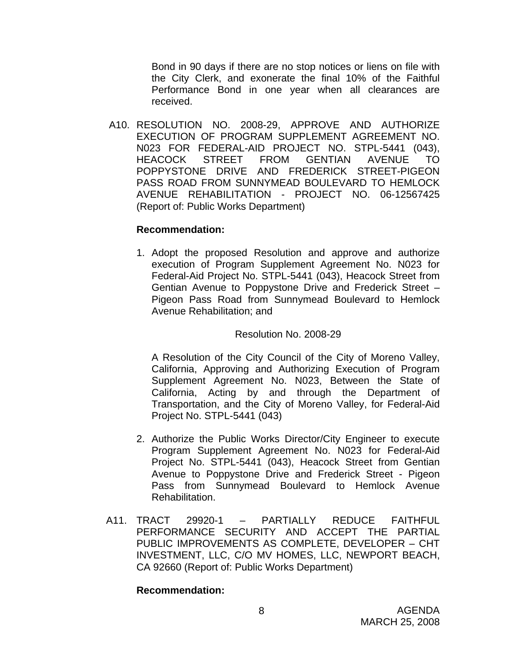Bond in 90 days if there are no stop notices or liens on file with the City Clerk, and exonerate the final 10% of the Faithful Performance Bond in one year when all clearances are received.

 A10. RESOLUTION NO. 2008-29, APPROVE AND AUTHORIZE EXECUTION OF PROGRAM SUPPLEMENT AGREEMENT NO. N023 FOR FEDERAL-AID PROJECT NO. STPL-5441 (043), HEACOCK STREET FROM GENTIAN AVENUE TO POPPYSTONE DRIVE AND FREDERICK STREET-PIGEON PASS ROAD FROM SUNNYMEAD BOULEVARD TO HEMLOCK AVENUE REHABILITATION - PROJECT NO. 06-12567425 (Report of: Public Works Department)

#### **Recommendation:**

1. Adopt the proposed Resolution and approve and authorize execution of Program Supplement Agreement No. N023 for Federal-Aid Project No. STPL-5441 (043), Heacock Street from Gentian Avenue to Poppystone Drive and Frederick Street – Pigeon Pass Road from Sunnymead Boulevard to Hemlock Avenue Rehabilitation; and

#### Resolution No. 2008-29

A Resolution of the City Council of the City of Moreno Valley, California, Approving and Authorizing Execution of Program Supplement Agreement No. N023, Between the State of California, Acting by and through the Department of Transportation, and the City of Moreno Valley, for Federal-Aid Project No. STPL-5441 (043)

- 2. Authorize the Public Works Director/City Engineer to execute Program Supplement Agreement No. N023 for Federal-Aid Project No. STPL-5441 (043), Heacock Street from Gentian Avenue to Poppystone Drive and Frederick Street - Pigeon Pass from Sunnymead Boulevard to Hemlock Avenue Rehabilitation.
- A11. TRACT 29920-1 PARTIALLY REDUCE FAITHFUL PERFORMANCE SECURITY AND ACCEPT THE PARTIAL PUBLIC IMPROVEMENTS AS COMPLETE, DEVELOPER – CHT INVESTMENT, LLC, C/O MV HOMES, LLC, NEWPORT BEACH, CA 92660 (Report of: Public Works Department)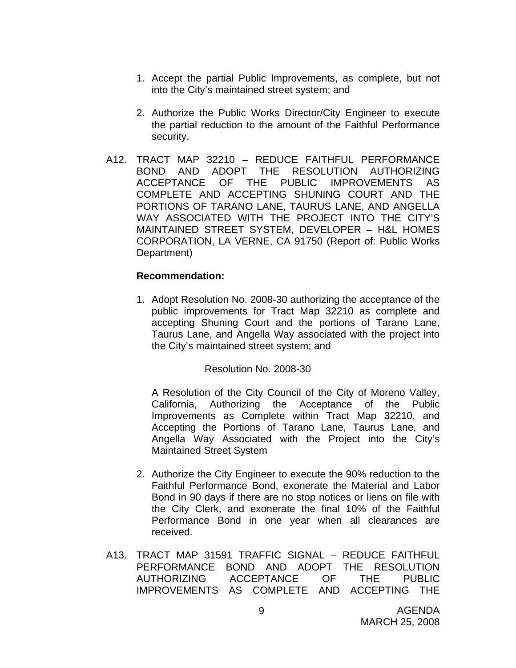- 1. Accept the partial Public Improvements, as complete, but not into the City's maintained street system; and
- 2. Authorize the Public Works Director/City Engineer to execute the partial reduction to the amount of the Faithful Performance security.
- A12. TRACT MAP 32210 REDUCE FAITHFUL PERFORMANCE BOND AND ADOPT THE RESOLUTION AUTHORIZING ACCEPTANCE OF THE PUBLIC IMPROVEMENTS AS COMPLETE AND ACCEPTING SHUNING COURT AND THE PORTIONS OF TARANO LANE, TAURUS LANE, AND ANGELLA WAY ASSOCIATED WITH THE PROJECT INTO THE CITY'S MAINTAINED STREET SYSTEM, DEVELOPER – H&L HOMES CORPORATION, LA VERNE, CA 91750 (Report of: Public Works Department)

#### **Recommendation:**

1. Adopt Resolution No. 2008-30 authorizing the acceptance of the public improvements for Tract Map 32210 as complete and accepting Shuning Court and the portions of Tarano Lane, Taurus Lane, and Angella Way associated with the project into the City's maintained street system; and

Resolution No. 2008-30

A Resolution of the City Council of the City of Moreno Valley, California, Authorizing the Acceptance of the Public Improvements as Complete within Tract Map 32210, and Accepting the Portions of Tarano Lane, Taurus Lane, and Angella Way Associated with the Project into the City's Maintained Street System

- 2. Authorize the City Engineer to execute the 90% reduction to the Faithful Performance Bond, exonerate the Material and Labor Bond in 90 days if there are no stop notices or liens on file with the City Clerk, and exonerate the final 10% of the Faithful Performance Bond in one year when all clearances are received.
- A13. TRACT MAP 31591 TRAFFIC SIGNAL REDUCE FAITHFUL PERFORMANCE BOND AND ADOPT THE RESOLUTION AUTHORIZING ACCEPTANCE OF THE PUBLIC IMPROVEMENTS AS COMPLETE AND ACCEPTING THE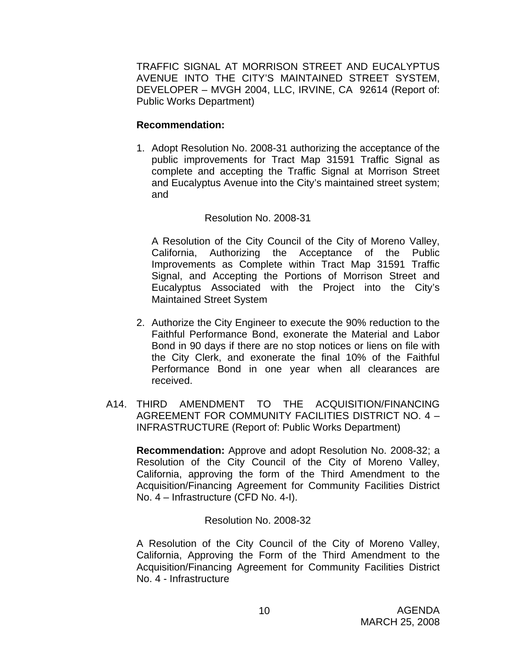TRAFFIC SIGNAL AT MORRISON STREET AND EUCALYPTUS AVENUE INTO THE CITY'S MAINTAINED STREET SYSTEM, DEVELOPER – MVGH 2004, LLC, IRVINE, CA 92614 (Report of: Public Works Department)

#### **Recommendation:**

1. Adopt Resolution No. 2008-31 authorizing the acceptance of the public improvements for Tract Map 31591 Traffic Signal as complete and accepting the Traffic Signal at Morrison Street and Eucalyptus Avenue into the City's maintained street system; and

### Resolution No. 2008-31

A Resolution of the City Council of the City of Moreno Valley, California, Authorizing the Acceptance of the Public Improvements as Complete within Tract Map 31591 Traffic Signal, and Accepting the Portions of Morrison Street and Eucalyptus Associated with the Project into the City's Maintained Street System

- 2. Authorize the City Engineer to execute the 90% reduction to the Faithful Performance Bond, exonerate the Material and Labor Bond in 90 days if there are no stop notices or liens on file with the City Clerk, and exonerate the final 10% of the Faithful Performance Bond in one year when all clearances are received.
- A14. THIRD AMENDMENT TO THE ACQUISITION/FINANCING AGREEMENT FOR COMMUNITY FACILITIES DISTRICT NO. 4 – INFRASTRUCTURE (Report of: Public Works Department)

**Recommendation:** Approve and adopt Resolution No. 2008-32; a Resolution of the City Council of the City of Moreno Valley, California, approving the form of the Third Amendment to the Acquisition/Financing Agreement for Community Facilities District No. 4 – Infrastructure (CFD No. 4-I).

Resolution No. 2008-32

 A Resolution of the City Council of the City of Moreno Valley, California, Approving the Form of the Third Amendment to the Acquisition/Financing Agreement for Community Facilities District No. 4 - Infrastructure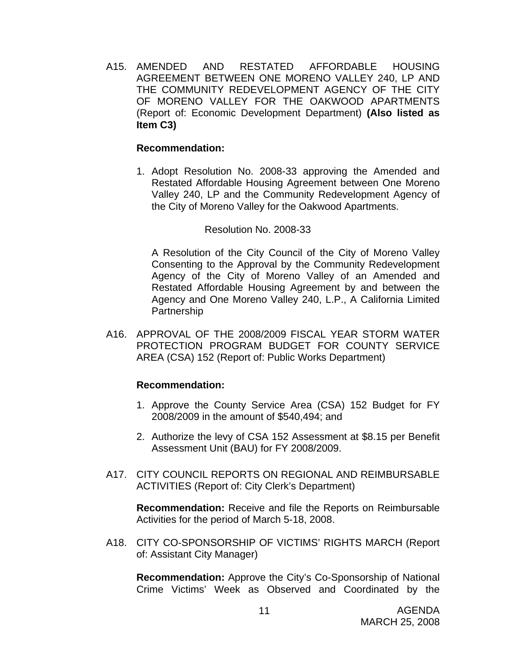A15. AMENDED AND RESTATED AFFORDABLE HOUSING AGREEMENT BETWEEN ONE MORENO VALLEY 240, LP AND THE COMMUNITY REDEVELOPMENT AGENCY OF THE CITY OF MORENO VALLEY FOR THE OAKWOOD APARTMENTS (Report of: Economic Development Department) **(Also listed as Item C3)** 

#### **Recommendation:**

1. Adopt Resolution No. 2008-33 approving the Amended and Restated Affordable Housing Agreement between One Moreno Valley 240, LP and the Community Redevelopment Agency of the City of Moreno Valley for the Oakwood Apartments.

#### Resolution No. 2008-33

A Resolution of the City Council of the City of Moreno Valley Consenting to the Approval by the Community Redevelopment Agency of the City of Moreno Valley of an Amended and Restated Affordable Housing Agreement by and between the Agency and One Moreno Valley 240, L.P., A California Limited **Partnership** 

A16. APPROVAL OF THE 2008/2009 FISCAL YEAR STORM WATER PROTECTION PROGRAM BUDGET FOR COUNTY SERVICE AREA (CSA) 152 (Report of: Public Works Department)

#### **Recommendation:**

- 1. Approve the County Service Area (CSA) 152 Budget for FY 2008/2009 in the amount of \$540,494; and
- 2. Authorize the levy of CSA 152 Assessment at \$8.15 per Benefit Assessment Unit (BAU) for FY 2008/2009.
- A17. CITY COUNCIL REPORTS ON REGIONAL AND REIMBURSABLE ACTIVITIES (Report of: City Clerk's Department)

**Recommendation:** Receive and file the Reports on Reimbursable Activities for the period of March 5-18, 2008.

A18. CITY CO-SPONSORSHIP OF VICTIMS' RIGHTS MARCH (Report of: Assistant City Manager)

 **Recommendation:** Approve the City's Co-Sponsorship of National Crime Victims' Week as Observed and Coordinated by the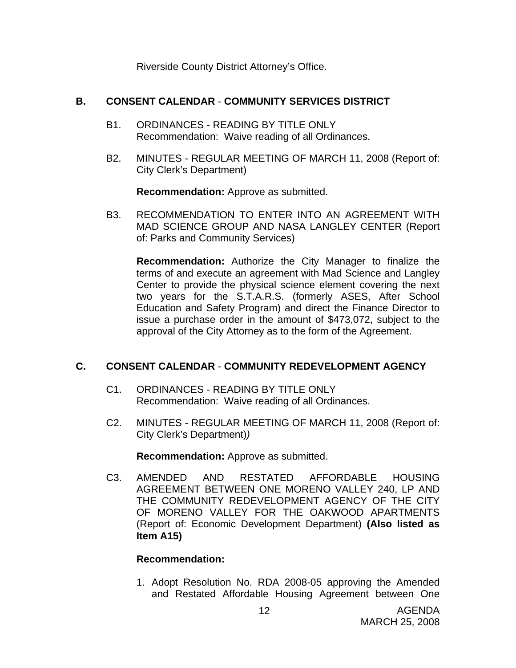Riverside County District Attorney's Office.

## **B. CONSENT CALENDAR** - **COMMUNITY SERVICES DISTRICT**

- B1. ORDINANCES READING BY TITLE ONLY Recommendation: Waive reading of all Ordinances.
- B2. MINUTES REGULAR MEETING OF MARCH 11, 2008 (Report of: City Clerk's Department)

**Recommendation:** Approve as submitted.

B3. RECOMMENDATION TO ENTER INTO AN AGREEMENT WITH MAD SCIENCE GROUP AND NASA LANGLEY CENTER (Report of: Parks and Community Services)

**Recommendation:** Authorize the City Manager to finalize the terms of and execute an agreement with Mad Science and Langley Center to provide the physical science element covering the next two years for the S.T.A.R.S. (formerly ASES, After School Education and Safety Program) and direct the Finance Director to issue a purchase order in the amount of \$473,072, subject to the approval of the City Attorney as to the form of the Agreement.

## **C. CONSENT CALENDAR** - **COMMUNITY REDEVELOPMENT AGENCY**

- C1. ORDINANCES READING BY TITLE ONLY Recommendation: Waive reading of all Ordinances.
- C2. MINUTES REGULAR MEETING OF MARCH 11, 2008 (Report of: City Clerk's Department)*)*

**Recommendation:** Approve as submitted.

C3. AMENDED AND RESTATED AFFORDABLE HOUSING AGREEMENT BETWEEN ONE MORENO VALLEY 240, LP AND THE COMMUNITY REDEVELOPMENT AGENCY OF THE CITY OF MORENO VALLEY FOR THE OAKWOOD APARTMENTS (Report of: Economic Development Department) **(Also listed as Item A15)** 

#### **Recommendation:**

1. Adopt Resolution No. RDA 2008-05 approving the Amended and Restated Affordable Housing Agreement between One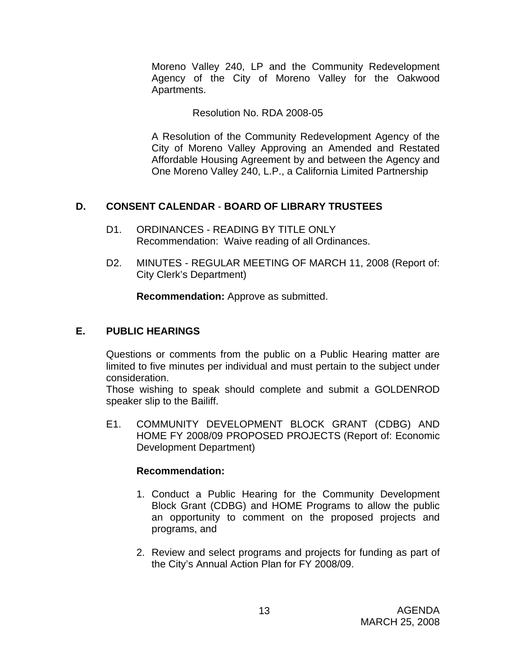Moreno Valley 240, LP and the Community Redevelopment Agency of the City of Moreno Valley for the Oakwood Apartments.

#### Resolution No. RDA 2008-05

A Resolution of the Community Redevelopment Agency of the City of Moreno Valley Approving an Amended and Restated Affordable Housing Agreement by and between the Agency and One Moreno Valley 240, L.P., a California Limited Partnership

## **D. CONSENT CALENDAR** - **BOARD OF LIBRARY TRUSTEES**

- D1. ORDINANCES READING BY TITLE ONLY Recommendation: Waive reading of all Ordinances.
- D2. MINUTES REGULAR MEETING OF MARCH 11, 2008 (Report of: City Clerk's Department)

**Recommendation:** Approve as submitted.

## **E. PUBLIC HEARINGS**

Questions or comments from the public on a Public Hearing matter are limited to five minutes per individual and must pertain to the subject under consideration.

 Those wishing to speak should complete and submit a GOLDENROD speaker slip to the Bailiff.

E1. COMMUNITY DEVELOPMENT BLOCK GRANT (CDBG) AND HOME FY 2008/09 PROPOSED PROJECTS (Report of: Economic Development Department)

- 1. Conduct a Public Hearing for the Community Development Block Grant (CDBG) and HOME Programs to allow the public an opportunity to comment on the proposed projects and programs, and
- 2. Review and select programs and projects for funding as part of the City's Annual Action Plan for FY 2008/09.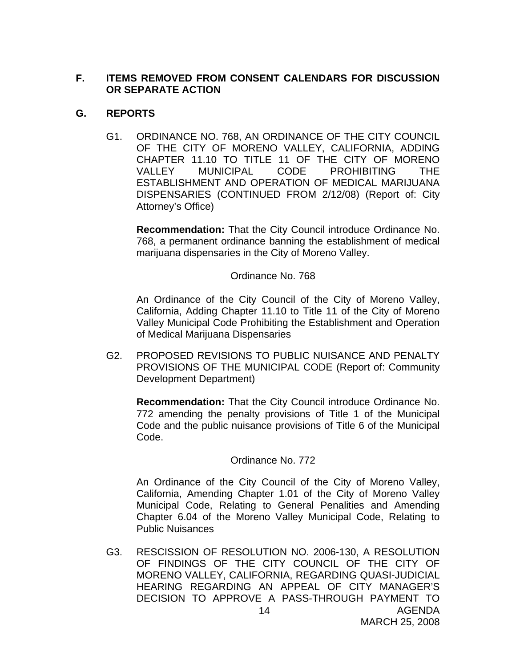## **F. ITEMS REMOVED FROM CONSENT CALENDARS FOR DISCUSSION OR SEPARATE ACTION**

## **G. REPORTS**

G1. ORDINANCE NO. 768, AN ORDINANCE OF THE CITY COUNCIL OF THE CITY OF MORENO VALLEY, CALIFORNIA, ADDING CHAPTER 11.10 TO TITLE 11 OF THE CITY OF MORENO VALLEY MUNICIPAL CODE PROHIBITING THE ESTABLISHMENT AND OPERATION OF MEDICAL MARIJUANA DISPENSARIES (CONTINUED FROM 2/12/08) (Report of: City Attorney's Office)

**Recommendation:** That the City Council introduce Ordinance No. 768, a permanent ordinance banning the establishment of medical marijuana dispensaries in the City of Moreno Valley.

Ordinance No. 768

An Ordinance of the City Council of the City of Moreno Valley, California, Adding Chapter 11.10 to Title 11 of the City of Moreno Valley Municipal Code Prohibiting the Establishment and Operation of Medical Marijuana Dispensaries

G2. PROPOSED REVISIONS TO PUBLIC NUISANCE AND PENALTY PROVISIONS OF THE MUNICIPAL CODE (Report of: Community Development Department)

**Recommendation:** That the City Council introduce Ordinance No. 772 amending the penalty provisions of Title 1 of the Municipal Code and the public nuisance provisions of Title 6 of the Municipal Code.

#### Ordinance No. 772

An Ordinance of the City Council of the City of Moreno Valley, California, Amending Chapter 1.01 of the City of Moreno Valley Municipal Code, Relating to General Penalities and Amending Chapter 6.04 of the Moreno Valley Municipal Code, Relating to Public Nuisances

AGENDA 14 G3. RESCISSION OF RESOLUTION NO. 2006-130, A RESOLUTION OF FINDINGS OF THE CITY COUNCIL OF THE CITY OF MORENO VALLEY, CALIFORNIA, REGARDING QUASI-JUDICIAL HEARING REGARDING AN APPEAL OF CITY MANAGER'S DECISION TO APPROVE A PASS-THROUGH PAYMENT TO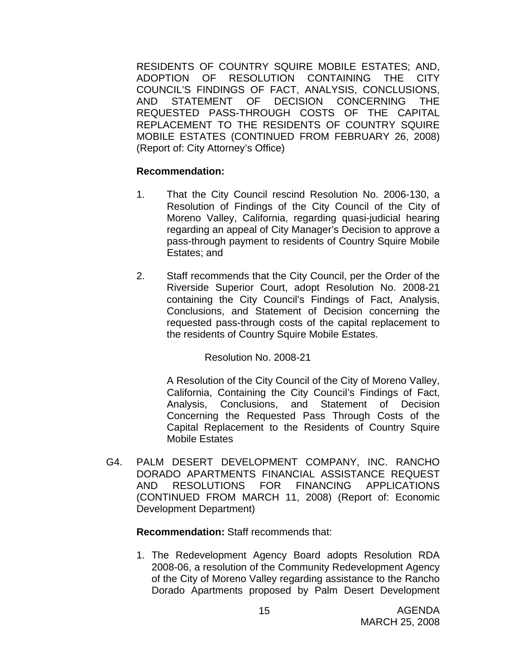RESIDENTS OF COUNTRY SQUIRE MOBILE ESTATES; AND, ADOPTION OF RESOLUTION CONTAINING THE CITY COUNCIL'S FINDINGS OF FACT, ANALYSIS, CONCLUSIONS, AND STATEMENT OF DECISION CONCERNING THE REQUESTED PASS-THROUGH COSTS OF THE CAPITAL REPLACEMENT TO THE RESIDENTS OF COUNTRY SQUIRE MOBILE ESTATES (CONTINUED FROM FEBRUARY 26, 2008) (Report of: City Attorney's Office)

#### **Recommendation:**

- 1. That the City Council rescind Resolution No. 2006-130, a Resolution of Findings of the City Council of the City of Moreno Valley, California, regarding quasi-judicial hearing regarding an appeal of City Manager's Decision to approve a pass-through payment to residents of Country Squire Mobile Estates; and
- 2. Staff recommends that the City Council, per the Order of the Riverside Superior Court, adopt Resolution No. 2008-21 containing the City Council's Findings of Fact, Analysis, Conclusions, and Statement of Decision concerning the requested pass-through costs of the capital replacement to the residents of Country Squire Mobile Estates.

Resolution No. 2008-21

A Resolution of the City Council of the City of Moreno Valley, California, Containing the City Council's Findings of Fact, Analysis, Conclusions, and Statement of Decision Concerning the Requested Pass Through Costs of the Capital Replacement to the Residents of Country Squire Mobile Estates

G4. PALM DESERT DEVELOPMENT COMPANY, INC. RANCHO DORADO APARTMENTS FINANCIAL ASSISTANCE REQUEST AND RESOLUTIONS FOR FINANCING APPLICATIONS (CONTINUED FROM MARCH 11, 2008) (Report of: Economic Development Department)

 **Recommendation:** Staff recommends that:

1. The Redevelopment Agency Board adopts Resolution RDA 2008-06, a resolution of the Community Redevelopment Agency of the City of Moreno Valley regarding assistance to the Rancho Dorado Apartments proposed by Palm Desert Development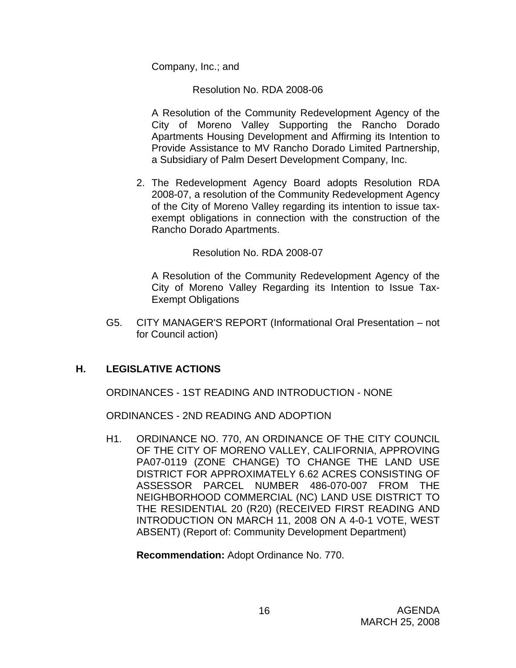Company, Inc.; and

Resolution No. RDA 2008-06

A Resolution of the Community Redevelopment Agency of the City of Moreno Valley Supporting the Rancho Dorado Apartments Housing Development and Affirming its Intention to Provide Assistance to MV Rancho Dorado Limited Partnership, a Subsidiary of Palm Desert Development Company, Inc.

2. The Redevelopment Agency Board adopts Resolution RDA 2008-07, a resolution of the Community Redevelopment Agency of the City of Moreno Valley regarding its intention to issue taxexempt obligations in connection with the construction of the Rancho Dorado Apartments.

Resolution No. RDA 2008-07

A Resolution of the Community Redevelopment Agency of the City of Moreno Valley Regarding its Intention to Issue Tax-Exempt Obligations

G5. CITY MANAGER'S REPORT (Informational Oral Presentation – not for Council action)

## **H. LEGISLATIVE ACTIONS**

ORDINANCES - 1ST READING AND INTRODUCTION - NONE

ORDINANCES - 2ND READING AND ADOPTION

H1. ORDINANCE NO. 770, AN ORDINANCE OF THE CITY COUNCIL OF THE CITY OF MORENO VALLEY, CALIFORNIA, APPROVING PA07-0119 (ZONE CHANGE) TO CHANGE THE LAND USE DISTRICT FOR APPROXIMATELY 6.62 ACRES CONSISTING OF ASSESSOR PARCEL NUMBER 486-070-007 FROM THE NEIGHBORHOOD COMMERCIAL (NC) LAND USE DISTRICT TO THE RESIDENTIAL 20 (R20) (RECEIVED FIRST READING AND INTRODUCTION ON MARCH 11, 2008 ON A 4-0-1 VOTE, WEST ABSENT) (Report of: Community Development Department)

**Recommendation:** Adopt Ordinance No. 770.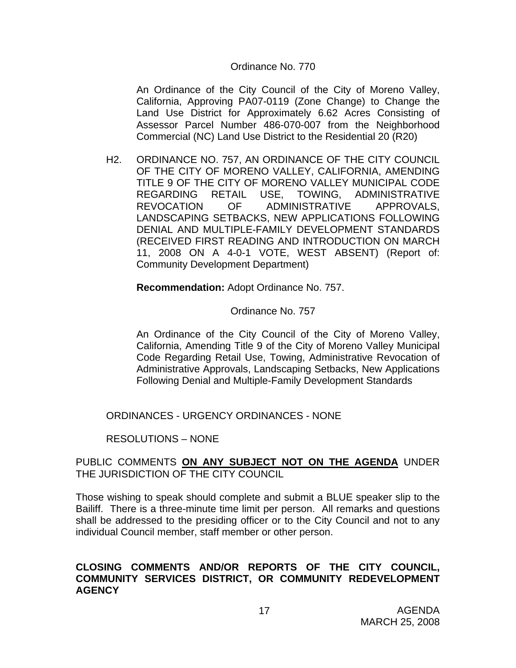#### Ordinance No. 770

An Ordinance of the City Council of the City of Moreno Valley, California, Approving PA07-0119 (Zone Change) to Change the Land Use District for Approximately 6.62 Acres Consisting of Assessor Parcel Number 486-070-007 from the Neighborhood Commercial (NC) Land Use District to the Residential 20 (R20)

H2. ORDINANCE NO. 757, AN ORDINANCE OF THE CITY COUNCIL OF THE CITY OF MORENO VALLEY, CALIFORNIA, AMENDING TITLE 9 OF THE CITY OF MORENO VALLEY MUNICIPAL CODE REGARDING RETAIL USE, TOWING, ADMINISTRATIVE REVOCATION OF ADMINISTRATIVE APPROVALS, LANDSCAPING SETBACKS, NEW APPLICATIONS FOLLOWING DENIAL AND MULTIPLE-FAMILY DEVELOPMENT STANDARDS (RECEIVED FIRST READING AND INTRODUCTION ON MARCH 11, 2008 ON A 4-0-1 VOTE, WEST ABSENT) (Report of: Community Development Department)

**Recommendation:** Adopt Ordinance No. 757.

#### Ordinance No. 757

An Ordinance of the City Council of the City of Moreno Valley, California, Amending Title 9 of the City of Moreno Valley Municipal Code Regarding Retail Use, Towing, Administrative Revocation of Administrative Approvals, Landscaping Setbacks, New Applications Following Denial and Multiple-Family Development Standards

ORDINANCES - URGENCY ORDINANCES - NONE

RESOLUTIONS – NONE

#### PUBLIC COMMENTS **ON ANY SUBJECT NOT ON THE AGENDA** UNDER THE JURISDICTION OF THE CITY COUNCIL

Those wishing to speak should complete and submit a BLUE speaker slip to the Bailiff. There is a three-minute time limit per person. All remarks and questions shall be addressed to the presiding officer or to the City Council and not to any individual Council member, staff member or other person.

#### **CLOSING COMMENTS AND/OR REPORTS OF THE CITY COUNCIL, COMMUNITY SERVICES DISTRICT, OR COMMUNITY REDEVELOPMENT AGENCY**